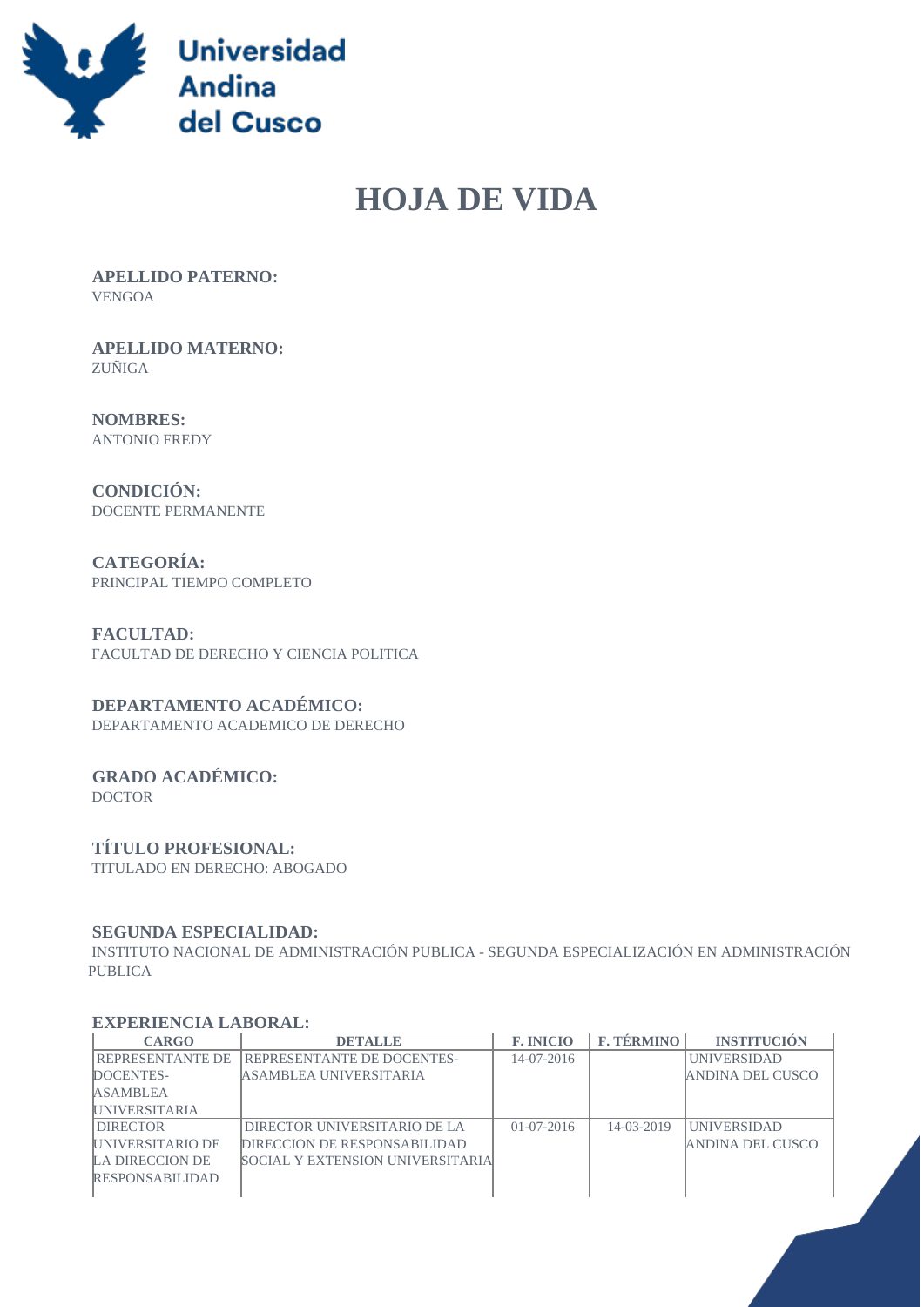

# **HOJA DE VIDA**

 **APELLIDO PATERNO:** VENGOA

 **APELLIDO MATERNO:** ZUÑIGA

 **NOMBRES:** ANTONIO FREDY

 **CONDICIÓN:** DOCENTE PERMANENTE

 **CATEGORÍA:** PRINCIPAL TIEMPO COMPLETO

 **FACULTAD:** FACULTAD DE DERECHO Y CIENCIA POLITICA

#### **DEPARTAMENTO ACADÉMICO:**

DEPARTAMENTO ACADEMICO DE DERECHO

#### **GRADO ACADÉMICO:** DOCTOR

## **TÍTULO PROFESIONAL:**

TITULADO EN DERECHO: ABOGADO

#### **SEGUNDA ESPECIALIDAD:**

 INSTITUTO NACIONAL DE ADMINISTRACIÓN PUBLICA - SEGUNDA ESPECIALIZACIÓN EN ADMINISTRACIÓN PUBLICA

#### **EXPERIENCIA LABORAL:**

| <b>CARGO</b>             | <b>DETALLE</b>                           | <b>F. INICIO</b> | <b>F. TÉRMINO</b> | <b>INSTITUCION</b> |
|--------------------------|------------------------------------------|------------------|-------------------|--------------------|
| REPRESENTANTE DE         | <b>REPRESENTANTE DE DOCENTES-</b>        | $14-07-2016$     |                   | <b>UNIVERSIDAD</b> |
| DOCENTES-                | ASAMBLEA UNIVERSITARIA                   |                  |                   | ANDINA DEL CUSCO   |
| <b>ASAMBLEA</b>          |                                          |                  |                   |                    |
| <b>IUNIVERSITARIA</b>    |                                          |                  |                   |                    |
| <b>DIRECTOR</b>          | DIRECTOR UNIVERSITARIO DE LA             | $01 - 07 - 2016$ | $14 - 03 - 2019$  | <b>UNIVERSIDAD</b> |
| <b>IUNIVERSITARIO DE</b> | DIRECCION DE RESPONSABILIDAD             |                  |                   | ANDINA DEL CUSCO   |
| LA DIRECCION DE          | <b>SOCIAL Y EXTENSION UNIVERSITARIAL</b> |                  |                   |                    |
| <b>RESPONSABILIDAD</b>   |                                          |                  |                   |                    |
|                          |                                          |                  |                   |                    |